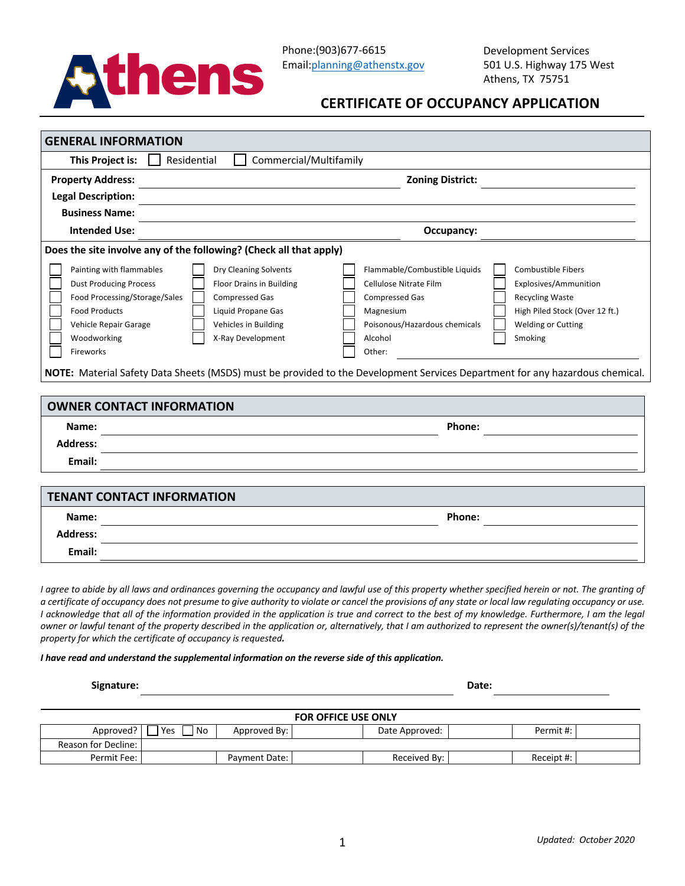

# **CERTIFICATE OF OCCUPANCY APPLICATION**

| This Project is:                                                   | Commercial/Multifamily<br>Residential |                                                            |  |  |  |  |
|--------------------------------------------------------------------|---------------------------------------|------------------------------------------------------------|--|--|--|--|
| <b>Property Address:</b>                                           |                                       | <b>Zoning District:</b>                                    |  |  |  |  |
| <b>Legal Description:</b>                                          |                                       |                                                            |  |  |  |  |
| <b>Business Name:</b>                                              |                                       |                                                            |  |  |  |  |
| <b>Intended Use:</b>                                               |                                       | Occupancy:                                                 |  |  |  |  |
| Does the site involve any of the following? (Check all that apply) |                                       |                                                            |  |  |  |  |
| Painting with flammables                                           | Dry Cleaning Solvents                 | Flammable/Combustible Liquids<br><b>Combustible Fibers</b> |  |  |  |  |
| <b>Dust Producing Process</b>                                      | <b>Floor Drains in Building</b>       | Cellulose Nitrate Film<br>Explosives/Ammunition            |  |  |  |  |
| Food Processing/Storage/Sales                                      | <b>Compressed Gas</b>                 | <b>Compressed Gas</b><br><b>Recycling Waste</b>            |  |  |  |  |
| <b>Food Products</b>                                               | Liquid Propane Gas                    | Magnesium<br>High Piled Stock (Over 12 ft.)                |  |  |  |  |
| Vehicle Repair Garage                                              | Vehicles in Building                  | Poisonous/Hazardous chemicals<br><b>Welding or Cutting</b> |  |  |  |  |
| Woodworking                                                        | X-Ray Development                     | Alcohol<br>Smoking                                         |  |  |  |  |
|                                                                    |                                       | Other:                                                     |  |  |  |  |

| <b>OWNER CONTACT INFORMATION</b>  |        |
|-----------------------------------|--------|
| Name:                             | Phone: |
| <b>Address:</b>                   |        |
| Email:                            |        |
|                                   |        |
| <b>TENANT CONTACT INFORMATION</b> |        |
| Name:                             | Phone: |

*I* agree to abide by all laws and ordinances governing the occupancy and lawful use of this property whether specified herein or not. The granting of *a certificate of occupancy does not presume to give authority to violate or cancel the provisions of any state or local law regulating occupancy or use. I* acknowledge that all of the information provided in the application is true and correct to the best of my knowledge. Furthermore, I am the legal *owner or lawful tenant of the property described in the application or, alternatively, that I am authorized to represent the owner(s)/tenant(s) of the property for which the certificate of occupancy is requested.* 

#### *I have read and understand the supplemental information on the reverse side of this application.*

**Signature: Date:**

**Address: Email:**

| <b>FOR OFFICE USE ONLY</b> |           |               |  |                |  |            |  |  |  |
|----------------------------|-----------|---------------|--|----------------|--|------------|--|--|--|
| Approved?                  | Yes<br>No | Approved By:  |  | Date Approved: |  | Permit #:  |  |  |  |
| <b>Reason for Decline:</b> |           |               |  |                |  |            |  |  |  |
| Permit Fee:                |           | Payment Date: |  | Received By:   |  | Receipt #: |  |  |  |